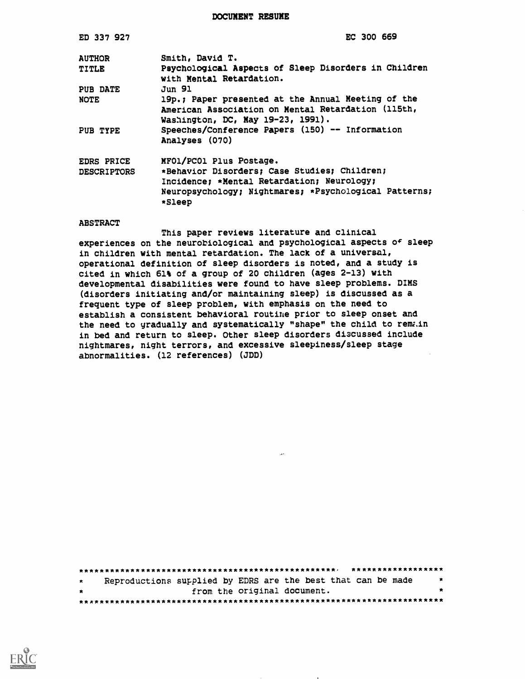DOCUMENT RESUME

| ED 337 927                              | EC 300 669                                                                                                                                                                               |
|-----------------------------------------|------------------------------------------------------------------------------------------------------------------------------------------------------------------------------------------|
| <b>AUTHOR</b>                           | Smith, David T.                                                                                                                                                                          |
| <b>TITLE</b>                            | Psychological Aspects of Sleep Disorders in Children<br>with Mental Retardation.                                                                                                         |
| PUB DATE                                | Jun 91                                                                                                                                                                                   |
| <b>NOTE</b>                             | 19p.; Paper presented at the Annual Meeting of the<br>American Association on Mental Retardation (115th,<br>Washington, DC, May 19-23, 1991).                                            |
| PUB TYPE                                | Speeches/Conference Papers (150) -- Information<br>Analyses (070)                                                                                                                        |
| <b>EDRS PRICE</b><br><b>DESCRIPTORS</b> | MFO1/PCO1 Plus Postage.<br>*Behavior Disorders; Case Studies; Children;<br>Incidence: *Mental Retardation; Neurology;<br>Neuropsychology; Nightmares; *Psychological Patterns;<br>*Sleep |

#### ABSTRACT

This paper reviews literature and clinical experiences on the neurobiological and psychological aspects of sleep in children with mental retardation. The lack of a universal, operational definition of sleep disorders is noted, and a study is cited in which 61% of a group of 20 children (ages 2-13) with developmental disabilities were found to have sleep problems. DIMS (disorders initiating and/or maintaining sleep) is discussed as a frequent type of sleep problem, with emphasis on the need to establish a consistent behavioral routine prior to sleep onset and the need to gradually and systematically "shape" the child to remain in bed and return to sleep. Other sleep disorders diacussed include nightmares, night terrors, and excessive sleepiness/sleep stage abnormalities. (12 references) (JDD)

| ****************** |                                                              |         |  |  |
|--------------------|--------------------------------------------------------------|---------|--|--|
| $\star$            | Reproductions supplied by EDRS are the best that can be made | 一大      |  |  |
| $\star$            | from the original document.                                  | $\star$ |  |  |
|                    |                                                              |         |  |  |

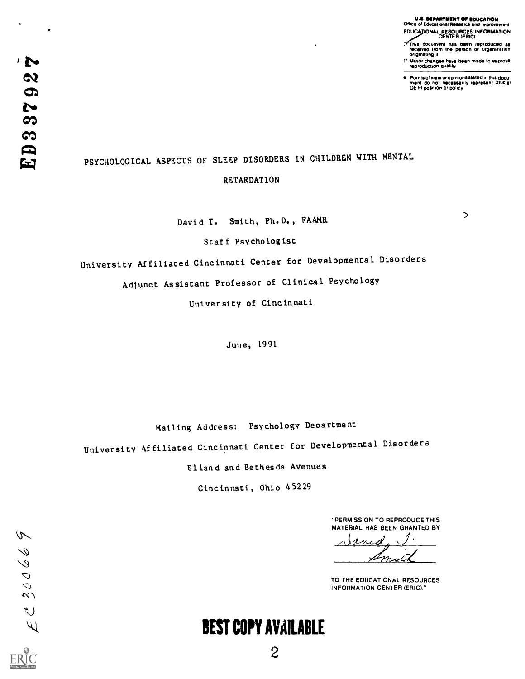U.S. DEPARTMENT OF EDUCATION<br>Office of Educational Research and Improvement EDUCA NAL RESOURCES INFORMATION CENTER (ERIC)

- $\mathbf{r}$ This document has been reproduced as<br>received trom the person or organization originating it
- CI Minor changes have been msde to improve.<br>Internation quality

Points of view or opinions stated in this docu-<br>ment: do: not: necessarily represent: Official<br>OE RI position or policy

 $\bullet$ 

・シ

 $\boldsymbol{\alpha}$ 

# PSYCHOLOGICAL ASPECTS OF SLEEP DISORDERS IN CHILDREN WITH MENTAL

#### RETARDATION

David T. Smith, Ph.D., FAAMR

 $\mathbf{D}$ 

Staff Psychologist

University Affiliated Cincinnati Center for Developmental Disorders

Adjunct Assistant Professor of Clinical Psychology

University of Cincinnati

Juue, 1991

Mailing Address: Psychology Department

University 4ffiliated Cincinnati Center for Developmental Disorders

Elland and Bethesda Avenues

Cincinnati, Ohio 45229

"PERMISSION TO REPRODUCE THIS MATERIAL HAS BEEN GRANTED BY

<u>لمصد</u>  $2a$ <u>m.</u>

TO THE EDUCATIONAL RESOURCES INFORMATION CENTER (ERIC)."

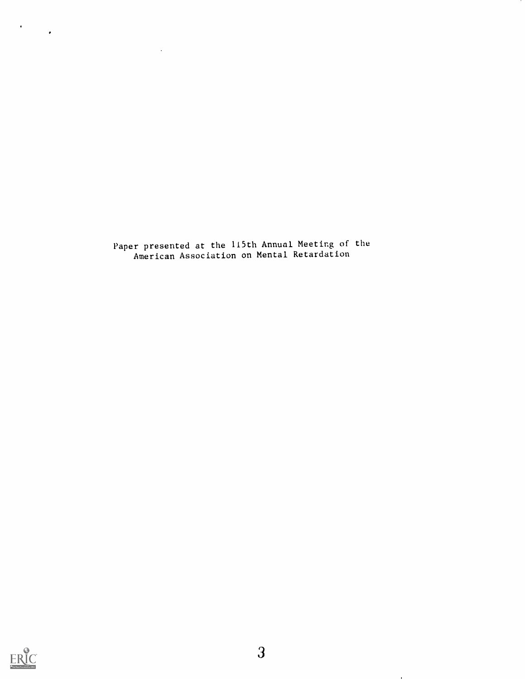Paper presented at the 115th Annual Meeting of the American Association on Mental Retardation

 $\sim$ 



 $\mathcal{L}$ 

 $\mathcal{O}(\mathcal{A})$ 

 $\mathbf{r}$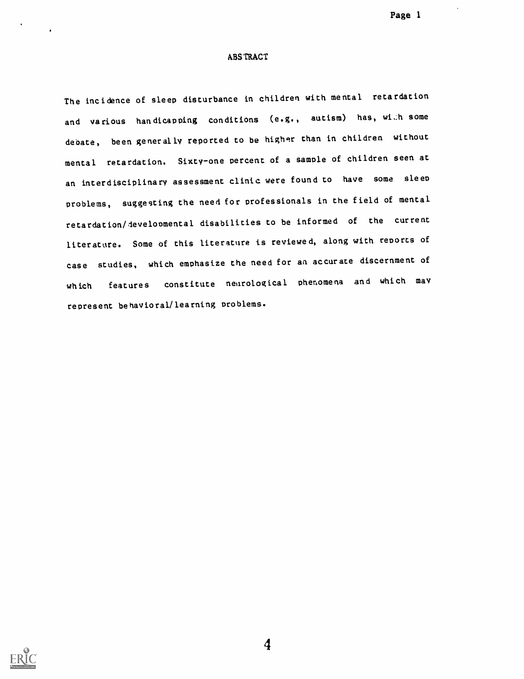Page 1

#### ABSTRACT

The incidence of sleep disturbance in children with mental retardation and various handicapping conditions (e.g., autism) has, wi..h some debate, been generally reported to be higher than in children without mental retardation. Sixty-one percent of a sample of children seen at an interdisciplinary assessment clinic were found to have some sleep problems, suggesting the need for professionals in the field of mental retardation/developmental disabilities to be informed of the cur rent literature. Some of this literature is reviewed, along with reports of case studies, which emphasize the need for an accurate discernment of which features constitute neurological phenomena and which may represent behavioral/learning problems.

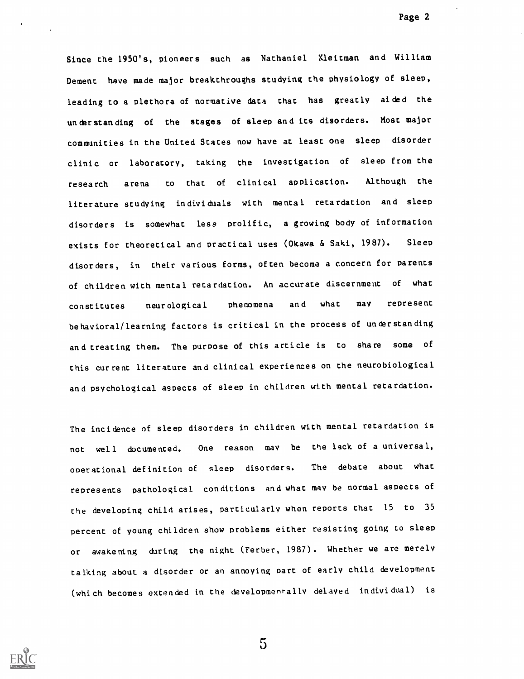Since the 1950's, pioneers such as Nathaniel Kleiman and William Dement have made major breakthroughs studying the physiology of sleep, leading to a plethora of normative data that has greatly aided the understanding of the stages of sleep and its disorders. Most major communities in the United States now have at least one sleep disorder clinic or laboratory, taking the investigation of sleep from the research arena to that of clinical application. Although the literature studying individuals with mental retardation and sleep disorders is somewhat less prolific, a growing body of information exists for theoretical and practical uses (Okawa & Saki, 1987). Sleep disorders, in their various forms, often become a concern for parents of children with mental retardation. An accurate discernment of what constitutes neur ological phenomena and what may represent behavioral/learning factors is critical in the process of understanding and treating them. The purpose of this article is to share some of this current literature and clinical experiences on the neurobiological and psychological aspects of sleep in children with mental retardation.

The incidence of sleep disorders in children with mental retardation is not well documented. One reason may be the lack of a universal, operational definition of sleep disorders. The debate about what represents pathological conditions and what may be normal aspects of the developing child arises, particularly when reports that <sup>15</sup> to <sup>35</sup> percent of young children show problems either resisting going to sleep or awakening during the night (Ferber, 1987). Whether we are merely talking about a disorder or an annoying part of early child development (which becomes extended in the developmenrally delayed individual) is



 $5\overline{)}$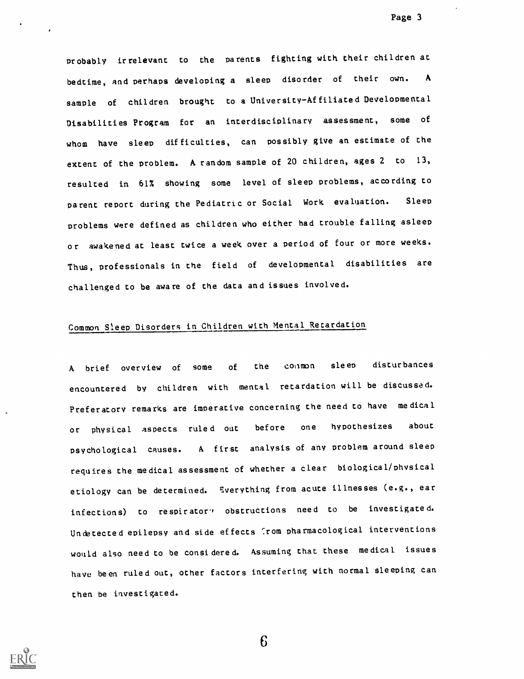Probably irrelevant to the parents fighting with their children at bedtime, and perhaps developing a sleep disorder of their own. A sample of children brought to a University-Affiliated Developmental Disabilities Program for an interdisciplinary assessment, some of whom have sleep difficulties, can possibly give an estimate of the extent of the problem. A random sample of 20 children, ages 2 to 13, resulted in 61% showing some level of sleep problems, according to Parent report during the Pediatric or Social Work evaluation. Sleep Problems were defined as children who either had trouble falling asleep or awakened at least twice a week over a period of four or more weeks. Thus, professionals in the field of developmental disabilities are challenged to be aware of the data and issues involved.

## Common Sleep Disorders in Children with Mental Retardation

A brief overview of some of the common sleep disturbances encountered by children with mental retardation will be discussed. Preferatory remarks are imperative concerning the need to have medical or physical aspects ruled out before one hypothesizes about Psychological Causes. <sup>A</sup> first analysis of any problem around sleep requires the medical assessment of whether a clear biological/physical etiology can be determined. Sverything from acute illnesses (e.g., ear infections) to respirator' obstructions need to be investigated. Undetected epilepsy and side effects from pharmacological interventions would also need to be considered. Assuming that these medical issues havu been ruled out, other factors interfering with normal sleeping can then be investigated.

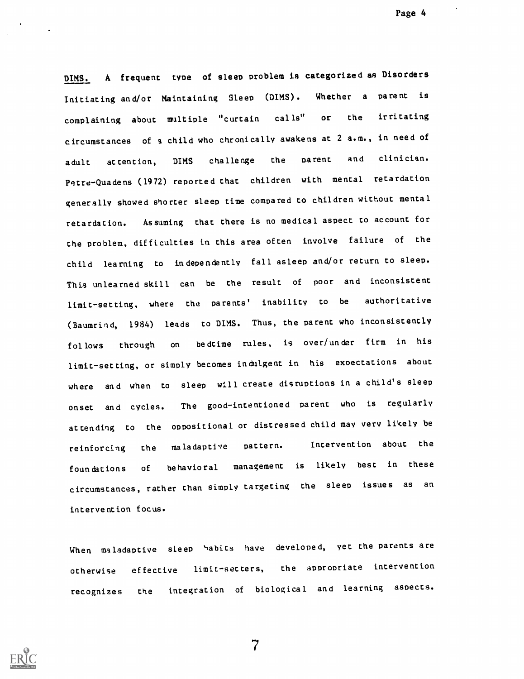Page 4

DIMS. A frequent type of sleep problem is categorized as Disorders Initiating and/or Maintaining Sleep (DIMS). complaining about multiple "curtain calls" or Whether a parent is the irritating ircumstances of a child who chroni cally awakens at 2 a.m. , in need of adult at tention, DIMS challenge the parent and clinician. Petre-Quadens (1972) reported that children with mental retardation generally showed shorter sleep time compared to children without mental retardation. Assuming that there is no medical aspect to account for the problem, difficulties in this area often involve failure of the child learning to in dependently fall asleep and/or return to sleep. This unlearned skill can be the result of poor and inconsistent limit-set ting, where the parents ' inability to be authoritative (Baumrind, 1984) leads to DIMS. Thus, the parent who inconsistently fol lows through on bedtime rules, is over/under firm in his limit-set ting, or simply becomes in dulgent in his expectations about where and when to sleep will create disruptions in a child's sleep onset and cycles. The good-intentioned parent who is regularly at tending to the oppositional or distressed child may very likely be reinforcing the maladaptive pattern. Intervention about the foun dations of behavioral management is likely best in these circumstances, rather than simply targeting the sleep issues as an interve ntion focus.

When maladaptive sleep habits have developed, yet the parents are otherwise effective limit-setters, the appropriate intervention recognizes the integration of biological and learning aspects.

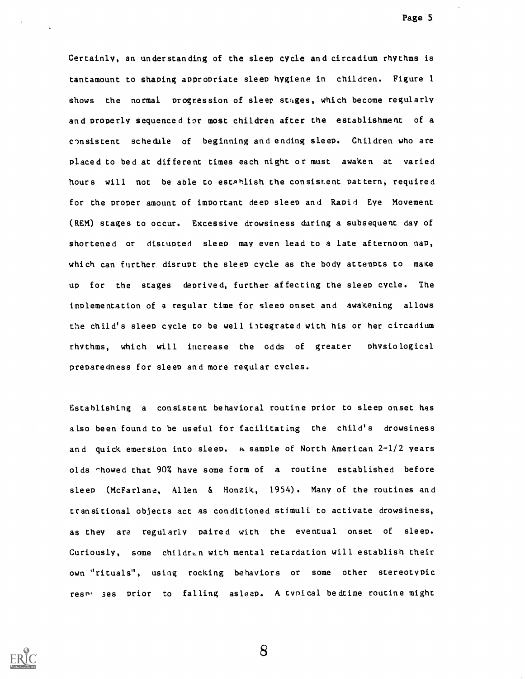Certainly, an understanding of the sleep cycle and circadium rhythms is tantamount to shaping appropriate sleep hygiene in children. Figure 1 shows the normal progression of sleer stages, which become regularly and properly sequenced for most children after the establishment of a consistent schedule of beginning and ending sleep. Children who are placed to bed at different times each night or must awaken at varied hours will not be able to estahlish the consistent pattern, required for the proper amount of important deep sleep and Rapid Eye Movement (REM) stages to occur. Excessive drowsiness during a subsequent day of shortened or distupted sleep may even lead to a late afternoon nap, which can further disrupt the sleep cycle as the body attempts to make up for the stages deprived, further affecting the sleep cycle. The implementation of a regular time for sleep onset and awakening allows the child's sleep cycle to be well integrated with his or her circadium rhythms, which will increase the odds of greater physiological preparedness for sleep and more regular cycles.

Establishing a consistent behavioral routine prior to sleep onset has also been found to be useful for facilitating the child's drowsiness and quick emersion into sleep. h sample of North American 2-1/2 years olds chowed that 90% have some form of a routine established before sleep (McFarlane, Allen & Honzik, 1954). Many of the routines and transitional objects act as conditioned stimuli to activate drowsiness, as they are regularly paired with the eventual onset of sleep. Curiously, some children with mental retardation will establish their own "rituals", using rocking behaviors or some other stereotypic resn, ses prior to falling asleep. A typical bedtime routine might

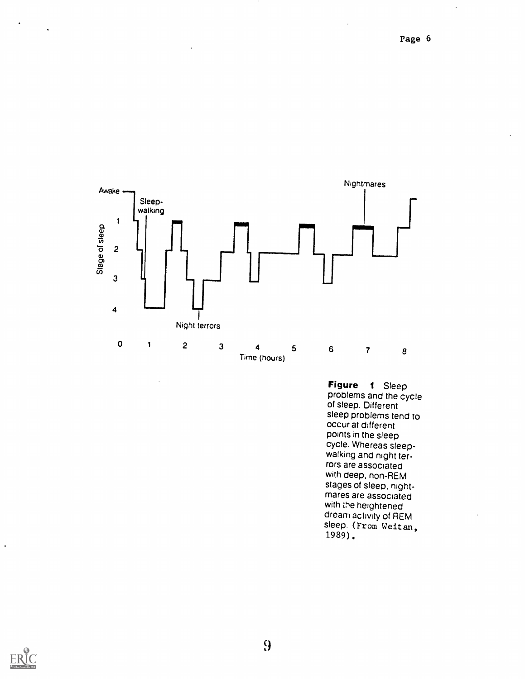l,



Figure <sup>1</sup> Sleep problems and the cycle of sleep. Different sleep problems tend to occur at different points in the sleep cycle. Whereas sleepwalking and night terrors are associated with deep, non-REM stages of sleep, nightmares are associated with the heightened dream activity of REM sleep. (From Weitan, 1989)



 $\mathbf{r}$ 

 $\bullet$ 

 $\sim 10^{-11}$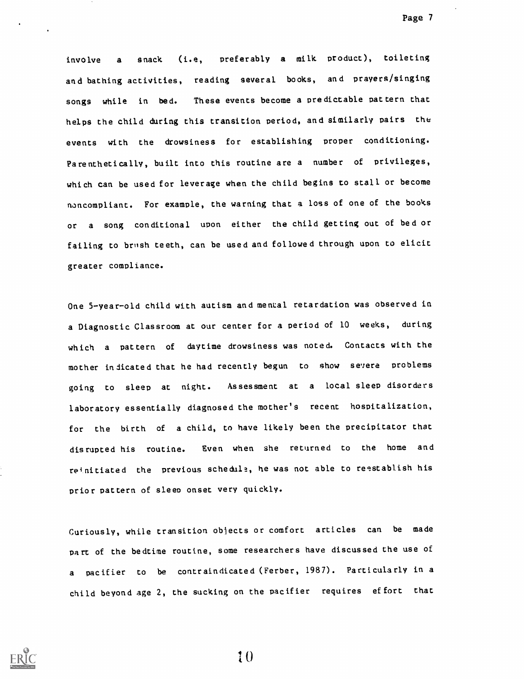involve a snack (i.e, preferably a milk product), toileting and bathing activities, reading several books, and prayers/singing songs while in bed. These events become a predictable pattern that helps the child during this transition period, and similarly pairs the events with the drowsiness for establishing proper conditioning. Parenthetically, built into this routine are a number of privileges, which can be used for leverage when the child begins to stall or become noncompliant. For example, the warning that a loss of one of the books or <sup>a</sup> song conditional upon either the child getting out of bed or failing to brush teeth, can be used and followed through upon to elicit greater compliance.

One 5-year-old child with autism and mental retardation was observed in a Diagnostic Classroom at our center for a period of 10 weeks, during which <sup>a</sup> pattern of daytime drowsiness was noted. Contacts with the mother indicated that he had recently begun to show severe problems going to sleep at night. Assessment at <sup>a</sup> local sleep disorders laboratory essentially diagnosed the mother's recent hospitalization, for the birth of a child, to have likely been the precipitator that disrupted his routine. Even when she returned to the home and reinitiated the previous schedula, he was not able to reestablish his prior pattern of sleep onset very quickly.

Curiously, while transition obiects or comfort articles can be made Part of the bedtime routine, some researchers have discussed the use of <sup>a</sup> pacifier to be contraindicated (Ferber, 1987). Particularly in a child beyond age 2, the sucking on the pacifier requires effort that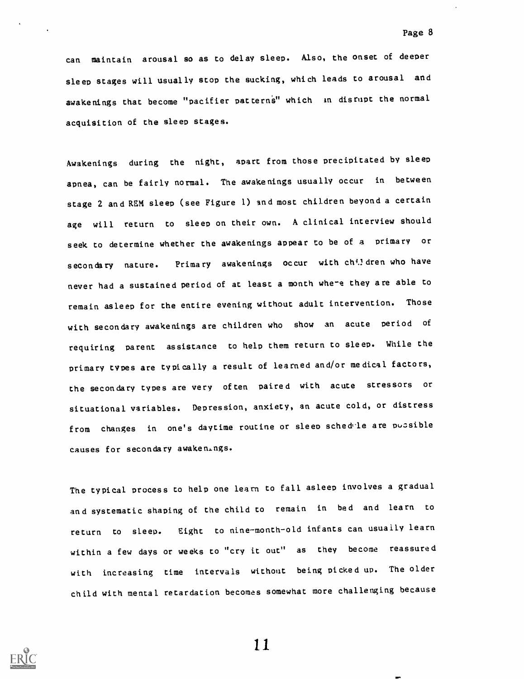can maintain arousal so as to delay sleep. Also, the onset of deeper sleep stages will usually stop the sucking, which leads to arousal and awakenings that become "pacifier patterns" which in disrupt the normal acquisition of the sleep stages.

Awakenings during the night, apart from those precipitated by sleep apnea, can be fairly normal. The awakenings usually occur in between stage 2 and REM sleep (see Figure 1) and most children beyond a certain age will return to sleep on their own. A clinical interview should seek to determine whether the awakenings appear to be of a primary or secondary nature. Primary awakenings occur with ch<sup>il</sup>dren who have never had a sustained period of at least a month where they are able to remain asleep for the entire evening without adult intervention. Those with secondary awakenings are children who show an acute period of requiring parent assistance to help them return to sleep. While the primary types are typically a result of learned and/or medical factors, the secondary types are very often paired with acute stressors or situational variables. Depression, anxiety, an acute cold, or distress from changes in one's daytime routine or sleep schedle are pussible causes for secondary awakenings.

The typical process to help one learn to fall asleep involves a gradual and systematic shaping of the child to remain in bed and learn to return to sleep. Eight to nine-month-old infants can usually learn within a few days or weeks to "cry it out" as they become reassure d with increasing time intervals without being picked up. The older child with mental retardation becomes somewhat more challenging because

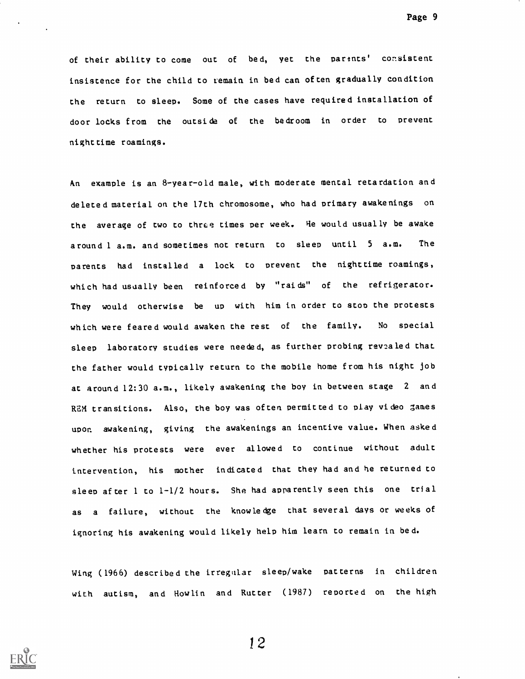of their ability to come out of bed, yet the parints' consistent insistence for the child to remain in bed can often gradually condition the return to sleep. Some of the cases have required installation of door locks from the outside of the bedroom in order to prevent nighttime roamings.

An example is an 8-year-old male, with moderate mental retardation and deleted material on the 17th chromosome, who had primary awakenings on the average of two to three times per week. He would usually be awake around 1 a.m. and sometimes not return to sleep until <sup>5</sup> a.m. The parents had installed a lock to prevent the nighttime roamings, which had usually been reinforced by "raids" of the refrigerator. They would otherwise be up with him in order to stop the protests which were feared would awaken the rest of the family. No special sleep laboratory studies were needed, as further probing revealed that the father would typically return to the mobile home from his night job at around 12:30 a.m., likely awakening the boy in between stage <sup>2</sup> and REM transitions. Also, the boy was often permitted to play video games upon awakening, giving the awakenings an incentive value. When asked whether his protests were ever allowed to continue without adult intervention, his mother indicated that they had and he returned to sleep af ter 1 to 1-1/2 hours. She had apparently seen this one trial as <sup>a</sup> failure, without the knowledge that several days or weeks of ignoring his awakening would likely help him learn to remain in bed.

Wing (1966) described the irregular sleep/wake patterns in children with autism, and Howlin and Rutter (1987) reported on the high

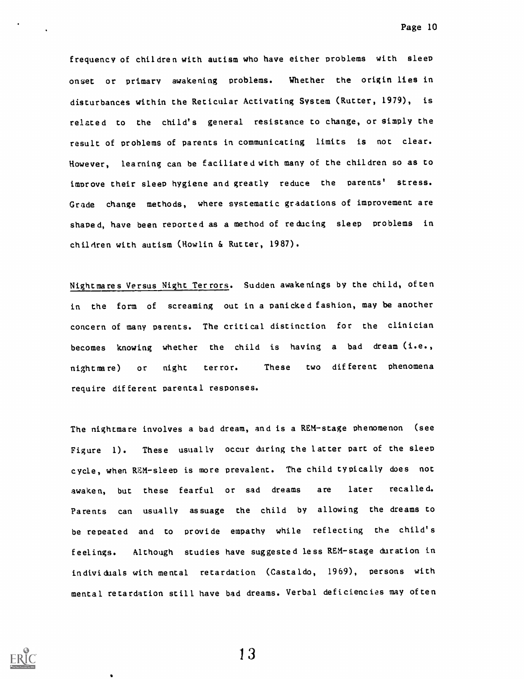frequency of children with autism who have either problems with sleep onset or primary awakening problems. Whether the origin lies in disturbances within the Reticular Activating System (Rutter, 1979), is related to the child's general resistance to change, or simply the result of problems of parents in communicating limits is not clear. However, learning can be faciliared with many of the children so as to improve their sleep hygiene and greatly reduce the parents' stress. Grade change methods, where systematic gradations of improvement are shaped, have been reported as a method of reducing sleep problems in children with autism (Howlin & Rutter, 1987).

Nightmares Versus Night Terrors. Sudden awakenings by the child, often in the form of screaming out in a panicked fashion, may be another concern of many parents. The critical distinction for the clinician becomes knowing whether the child is having a bad dream (i.e., nightmare) or night terror. These two different phenomena require different parental responses.

The nightmare involves a bad dream, and is a REM-stage phenomenon (see Figure 1). These usually occur during the latter part of the sleep cycle, when REM-sleep is more prevalent. The child typically does not awaken, but these fearful or sad dreams are later recalled. Parents can usually assuage the child by allowing the dreams to be repeated and to provide empathy while reflecting the child's feelings. Although studies have suggested less REH-stage duration in individuals with mental retardation (Castaldo, 1969), persons with mental retardation still have bad dreams. Verbal deficiencies may often

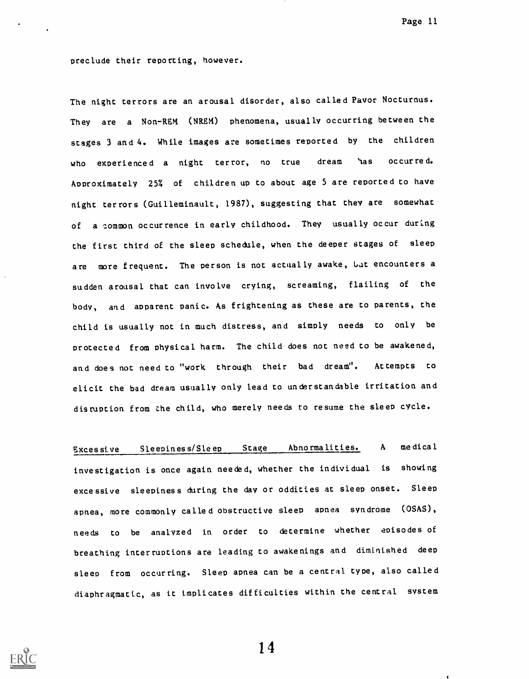Page 11

preclude their reporting, however.

The night terrors are an arousal disorder, also called Pavor Nocturnus. They are a Non-REM (NREM) phenomena, usually occurring between the stages 3 and 4. While images are sometimes reported by the children who experienced a night terror, no true dream 'as occurred. Approximately 25% of children up to about age 5 are reported to have night terrors (Guilleminault, 1987), suggesting that they are somewhat of a common occurrence in early childhood. They usually occur during the first third of the sleep schedule, when the deeper stages of sleep are more frequent. The person is not actually awake, but encounters a sudden arousal that can involve crying, screaming, flailing of the body, and apparent panic. As frightening as these are to parents, the child is usually not in much distress, and simply needs to only be Protected from physical harm. The child does not need to be awakened, and does not need to "work through their bad dream". Attempts to elicit the bad dream usually only lead to understandable irritation and disruption from zhe child, who merely needs to resume the sleep cycle.

Excessive Sleepines s/Sleep Stage Abnormalities. A medical investigation is once again needed, whether the individual is showing excessive sleepiness during the day or oddities at sleep onset. Sleep apnea, more commonly called obstructive sleep apnea syndrome (OSAS), needs to be analyzed in order to determine whether episodes of breathing interruptions are leading to awakenings and diminished deep sleep from occurring. Sleep apnea can be a central type, also called diaphragmatic, as it implicates difficulties within the central system

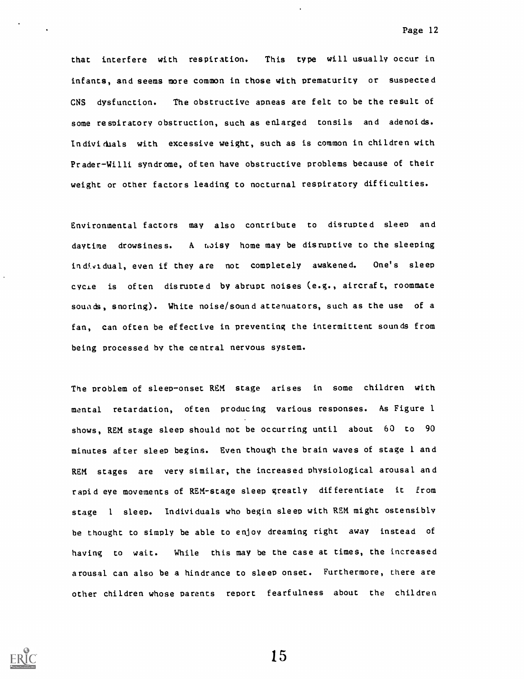that interfere with respiration. This type will usually occur in infants, and seems more common in those with prematurity or suspected CNS dysfunction. The obstructive apneas are felt to be the result of some respiratory obstruction, such as enlarged tonsils and adenoids. Individials with excessive weight, such as is common in children with Prader-Willi syndrome, often have obstructive problems because of their weight or other factors leading to nocturnal respiratory difficulties.

Environmental factors may also contribute to disrupted sleep and daytime drowsiness. A moisy home may be disruptive to the sleeping individual, even if they are not completely awakened. One's sleep cycLe is often disrupted by abrupt noises (e.g., aircraft, roommate souads, snoring). White noise/sound attenuators, such as the use of a fan, can often be effective in preventing the intermittent sounds from being processed by the central nervous system.

The problem of sleep-onset REM stage arises in some children with mental retardation, often producing various responses. As Figure 1 shows, REM stage sleep should not be occurring until about 60 to 90 minutes after sleep begins. Even though the brain waves of stage 1 and REM stages are very similar, the increased physiological arousal and rapid eye movements of REM-stage sleep greatly differentiate it from stage <sup>1</sup> sleep. Individuals who begin sleep with REM might ostensibly be thought to simply be able to enjoy dreaming right away instead of having to wait. While this may be the case at times, the increased arousal can also be a hindrance to sleep onset. Furthermore, there are other children whose parents report fearfulness about the children

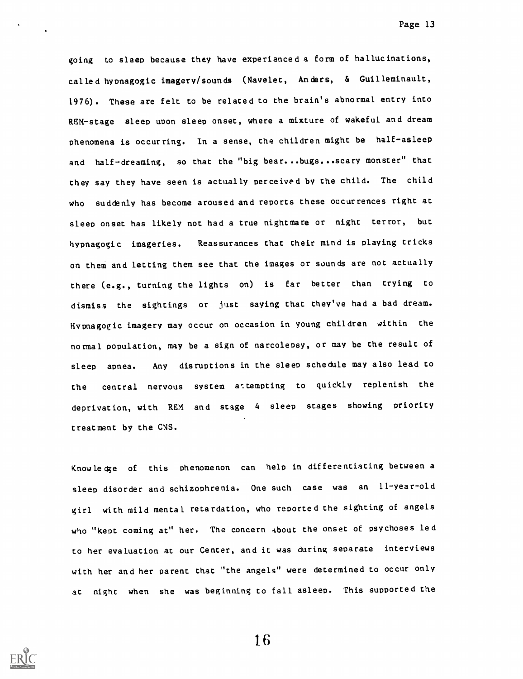going to sleep because they have experienced a form of hallucinations, called hypnagogic imagery/sounds (Navelet, Anders, & Guilleminault, 1976). These are felt to be related to the brain's abnormal entry into REM-stage sleep upon sleep onset, where a mixture of wakeful and dream phenomena is occurring. In a sense, the children might be half-asleep and half-dreaming, so that the "big bear...bugs...scary monster" that they say they have seen is actually perceived by the child. The child who suddenly has become aroused and reports these occurrences right at sleep onset has likely not had a true nightmare or night terror, but hypnagogic imageries. Reassurances that their mind is playing tricks on them and letting them see that the images or sounds are not actually there (e.g., turning the lights on) is far better than trying to dismiss the sightings or just saying that they've had a bad dream. Hypnagogic imagery may occur on occasion in young children within the normal population, may be a sign of narcolepsy, or may be the result of sleep apnea. Any disruptions in the sleep schedule may also lead to the central nervous system a:tempting to quickly replenish the deprivation, with REM and stage <sup>4</sup> sleep stages showing priority treatment by the CNS.

Knowledge of this phenomenon can help in differentiating between a sleep disorder and schizophrenia. One such case was an 11-year-old girl with mild mental retardation, who reported the sighting of angels who "kept coming at" her. The concern about the onset of psychoses led to her evaluation at our Center, and it was during separate interviews with her and her parent that "the angels" were determined to occur only at night when she was beginning to fall asleep. This supported the

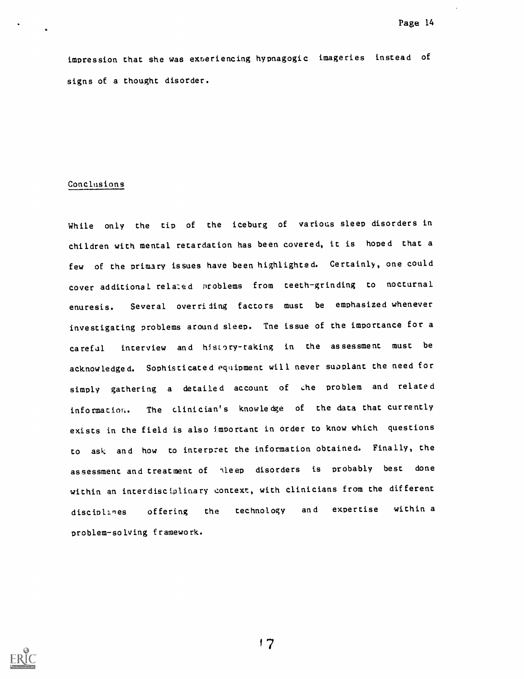impression that she was exteriencing hypnagogic imageries instead of signs of a thought disorder.

### Conclusions

While only the tip of the iceburg of various sleep disorders in children with mental retardation has been covered, it is hoped that a few of the primary issues have been highlighted. Certainly, one could cover additional rela:ed Droblems from teeth-grinding to nocturnal enuresis. Several overriding factors must be emphasized whenever investigating problems around sleep. Tne issue of the importance for a careful interview and history-taking in the assessment must be acknowledged. Sophisticated equipment will never supplant the need for simply gathering a detailed account of the problem and related information. The clinician's knowledge of the data that currently exists in the field is also imPortant in order to know which questions to ask and how to interpret the information obtained. Finally, the assessment and treatment of ileep disorders is probably best done within an interdisciplinary context, with clinicians from the different disciplines offering the technology and expertise within a problem-solving framework.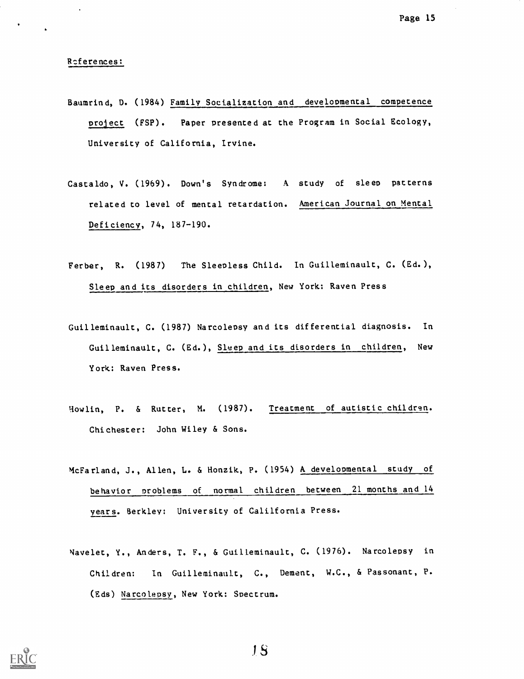### Rcferences:

- Baumrind, D. (1984) Family Socialization and developmental competence project (FSP). Paper presented at the Program in Social Ecology, University of California, Irvine.
- Cascaldo, V. (1969). Down's Syndrome: A study of sleep patterns related to level of mental retardation. American Journal on Mental Deficiency, 74, 187-190.
- Ferber, R. (1987) The Sleepless Child. In Guilleminault, C. (Ed.), Sleep and its disorders in children, New York: Raven Press
- Guilleminault, C. (1987) Narcolepsy and its differential diagnosis. In Guilleminault, C. (Ed.), Sleep and its disorders in children, New York: Raven Press.
- Howlin, P. & Rutter, M. (1987). Treatment of autistic children. Chichester: John Wiley & Sons.
- McFarland, J., Allen, L. & Honzik, P. (1954) A developmental study of behavior problems of normal children between 21 months and 14 years. Berkley: University of Calilfornia Press.
- Navelet, Y., Anders, T. F., & Guilleminault, C. (1976). Narcolepsy in Children: In Guilleminault, C., Dement, W.C., & Passonant, P. (Eds) Narcolepsy, New York: Spectrum.



S